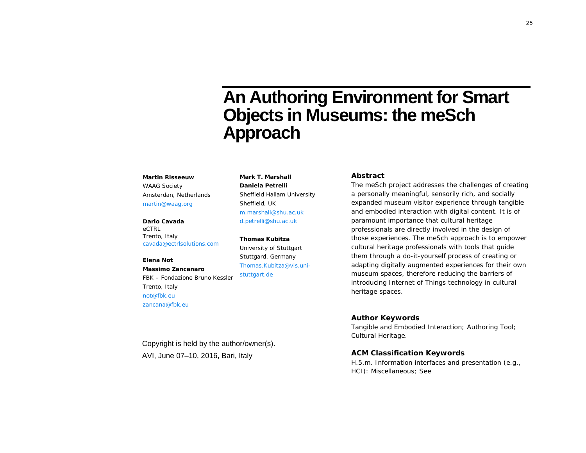# **An Authoring Environment for Smart Objects in Museums: the meSch Approach**

#### **Martin Risseeuw**

WAAG Society Amsterdan, Netherlands martin@waag.org

**Dario Cavada** eCTRL Trento, Italy

[cavada@ectrlsolutions.com](mailto:cavada@ectrlsolutions.com)

**Elena Not Massimo Zancanaro** FBK – Fondazione Bruno Kessler Trento, Italy [not@fbk.eu](mailto:not@fbk.eu) [zancana@fbk.eu](mailto:zancana@fbk.eu)

historical approach.

exclusive publication license.

Copyright is held by the author/owner(s).

AVI, June 07–10, 2016, Bari, Italy

**Mark T. Marshall**

**Daniela Petrelli** Sheffield Hallam University Sheffield, UK [m.marshall@shu.ac.uk](mailto:m.marshall@shu.ac.uk)  [d.petrelli@shu.ac.uk](mailto:d.petrelli@shu.ac.uk) 

**Thomas Kubitza** University of Stuttgart Stuttgard, Germany [Thomas.Kubitza@vis.uni](mailto:Thomas.Kubitza@vis.uni-stuttgart.de)[stuttgart.de](mailto:Thomas.Kubitza@vis.uni-stuttgart.de) 

## **Abstract**

The meSch project addresses the challenges of creating a personally meaningful, sensorily rich, and socially expanded museum visitor experience through tangible and embodied interaction with digital content. It is of paramount importance that cultural heritage professionals are directly involved in the design of those experiences. The meSch approach is to empower cultural heritage professionals with tools that guide them through a *do-it-yourself* process of creating or adapting digitally augmented experiences for their own museum spaces, therefore reducing the barriers of introducing *Internet of Things technology* in cultural heritage spaces.

### **Author Keywords**

Tangible and Embodied Interaction; Authoring Tool; Cultural Heritage.

## **ACM Classification Keywords**

H.5.m. Information interfaces and presentation (e.g., HCI): Miscellaneous; See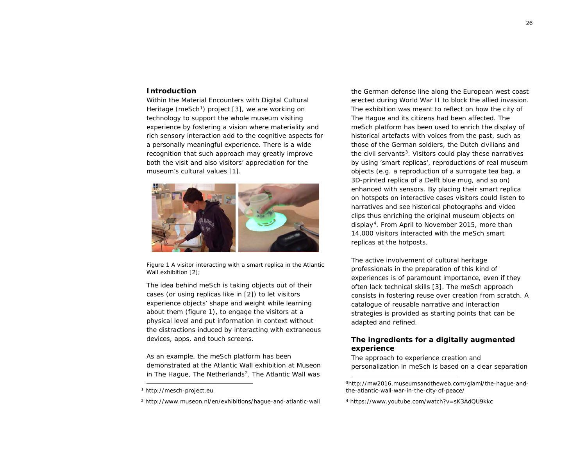## **Introduction**

Within the Material Encounters with Digital Cultural Heritage (meSch<sup>1</sup>) project [3], we are working on technology to support the whole museum visiting experience by fostering a vision where materiality and rich sensory interaction add to the cognitive aspects for a personally meaningful experience. There is a wide recognition that such approach may greatly improve both the visit and also visitors' appreciation for the museum's cultural values [1].



Figure 1 A visitor interacting with a smart replica in the Atlantic Wall exhibition [2];

The idea behind meSch is taking objects out of their cases (or using replicas like in [2]) to let visitors experience objects' shape and weight while learning about them (figure 1), to engage the visitors at a physical level and put information in context without the distractions induced by interacting with extraneous devices, apps, and touch screens.

As an example, the meSch platform has been demonstrated at the Atlantic Wall exhibition at Museon in The Hague, The Netherlands<sup>2</sup>. The Atlantic Wall was

<span id="page-1-2"></span><span id="page-1-1"></span><span id="page-1-0"></span>the German defense line along the European west coast erected during World War II to block the allied invasion. The exhibition was meant to reflect on how the city of The Hague and its citizens had been affected. The meSch platform has been used to enrich the display of historical artefacts with voices from the past, such as those of the German soldiers, the Dutch civilians and the civil servants<sup>[3](#page-1-2)</sup>. Visitors could play these narratives by using 'smart replicas', reproductions of real museum objects (e.g. a reproduction of a surrogate tea bag, a 3D-printed replica of a Delft blue mug, and so on) enhanced with sensors. By placing their smart replica on hotspots on interactive cases visitors could listen to narratives and see historical photographs and video clips thus enriching the original museum objects on display[4.](#page-1-1) From April to November 2015, more than 14,000 visitors interacted with the meSch smart replicas at the hotposts.

The active involvement of cultural heritage professionals in the preparation of this kind of experiences is of paramount importance, even if they often lack technical skills [3]. The meSch approach consists in fostering reuse over creation from scratch. A catalogue of reusable narrative and interaction strategies is provided as starting points that can be adapted and refined.

## **The ingredients for a digitally augmented experience**

The approach to experience creation and personalization in meSch is based on a clear separation

<sup>4</sup> https://www.youtube.com/watch?v=sK3AdQU9kkc

 <sup>1</sup> http://mesch-project.eu

<sup>2</sup> http://www.museon.nl/en/exhibitions/hague-and-atlantic-wall

 <sup>3</sup>http://mw2016.museumsandtheweb.com/glami/the-hague-andthe-atlantic-wall-war-in-the-city-of-peace/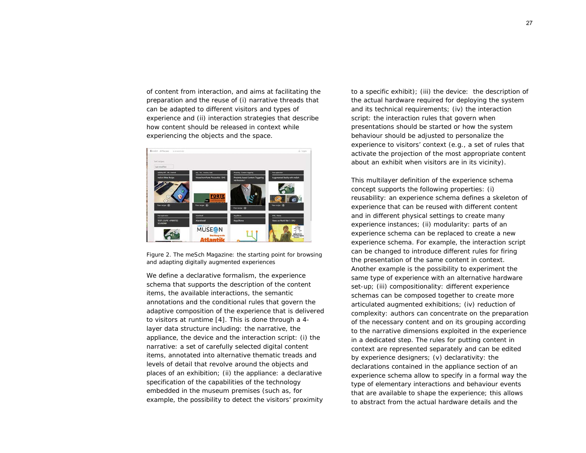of content from interaction, and aims at facilitating the preparation and the reuse of (i) narrative threads that can be adapted to different visitors and types of experience and (ii) interaction strategies that describe how content should be released in context while experiencing the objects and the space.



Figure 2. The meSch Magazine: the starting point for browsing and adapting digitally augmented experiences

We define a declarative formalism, the *experience schema* that supports the description of the content items, the available interactions, the semantic annotations and the conditional rules that govern the adaptive composition of the experience that is delivered to visitors at runtime [4]. This is done through a 4 layer data structure including: the *narrative*, the *appliance*, the *device* and the *interaction script*: (i) the *narrative*: a set of carefully selected digital content items, annotated into alternative thematic treads and levels of detail that revolve around the objects and places of an exhibition; (ii) the *appliance*: a declarative specification of the capabilities of the technology embedded in the museum premises (such as, for example, the possibility to detect the visitors' proximity

to a specific exhibit); (iii) the *device*: the description of the actual hardware required for deploying the system and its technical requirements; (iv) the *interaction script*: the interaction rules that govern when presentations should be started or how the system behaviour should be adjusted to personalize the experience to visitors' context (e.g., a set of rules that activate the projection of the most appropriate content about an exhibit when visitors are in its vicinity).

This multilayer definition of the *experience schema* concept supports the following properties: (i) *reusability*: an experience schema defines a skeleton of experience that can be reused with different content and in different physical settings to create many experience instances; (ii) *modularity*: parts of an experience schema can be replaced to create a new experience schema. For example, the interaction script can be changed to introduce different rules for firing the presentation of the same content in context. Another example is the possibility to experiment the same type of experience with an alternative hardware set-up; (iii) *compositionality*: different experience schemas can be composed together to create more articulated augmented exhibitions; (iv) *reduction of complexity*: authors can concentrate on the preparation of the necessary content and on its grouping according to the narrative dimensions exploited in the experience in a dedicated step. The rules for putting content in context are represented separately and can be edited by experience designers; (v) *declarativity*: the declarations contained in the appliance section of an experience schema allow to specify in a formal way the type of elementary interactions and behaviour events that are available to shape the experience; this allows to abstract from the actual hardware details and the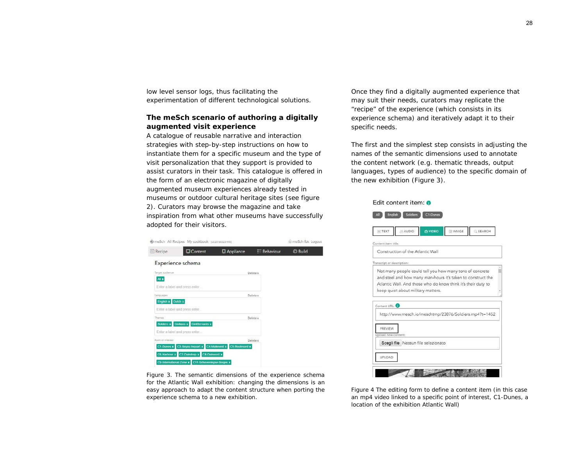low level sensor logs, thus facilitating the experimentation of different technological solutions.

## **The meSch scenario of authoring a digitally augmented visit experience**

A catalogue of reusable narrative and interaction strategies with step-by-step instructions on how to instantiate them for a specific museum and the type of visit personalization that they support is provided to assist curators in their task. This catalogue is offered in the form of an electronic magazine of digitally augmented museum experiences already tested in museums or outdoor cultural heritage sites (see figure 2). Curators may browse the magazine and take inspiration from what other museums have successfully adopted for their visitors.

| C meSch All Recipes My cookbook [v3.201603231443] | R meSch-fbk Logout                       |                                                  |                    |              |
|---------------------------------------------------|------------------------------------------|--------------------------------------------------|--------------------|--------------|
| Recipe                                            | Content                                  | <b>Q</b> Appliance                               | <b>E</b> Behaviour | <b>Build</b> |
| Experience schema                                 |                                          |                                                  |                    |              |
| Tairpet audience                                  |                                          | Delate x                                         |                    |              |
| All x                                             |                                          |                                                  |                    |              |
|                                                   | Enter a label and press enter            |                                                  |                    |              |
| Languages                                         |                                          | Delete x                                         |                    |              |
| English x                                         | Dutch x                                  |                                                  |                    |              |
|                                                   | Enter a label and press enter            |                                                  |                    |              |
| Themes                                            |                                          | Delete x                                         |                    |              |
|                                                   | Soldiers x Civilians x CivilServants x   |                                                  |                    |              |
|                                                   | Enter a label and press enter            |                                                  |                    |              |
| Point of interest                                 |                                          | Delete x                                         |                    |              |
| C1-Dunes x                                        |                                          | C3-Seyss-Inquart x C4-Malieveld x C5-Boulevard x |                    |              |
|                                                   | C6 Harbour x C7-Duindorp x C8 Duinoord x |                                                  |                    |              |
| C9-International-Zone x                           | C11-Scheveningse-Bosjes x                |                                                  |                    |              |

Figure 3. The semantic dimensions of the experience schema for the Atlantic Wall exhibition: changing the dimensions is an easy approach to adapt the content structure when porting the experience schema to a new exhibition.

Once they find a digitally augmented experience that may suit their needs, curators may replicate the "recipe" of the experience (which consists in its experience schema) and iteratively adapt it to their specific needs.

The first and the simplest step consists in adjusting the names of the semantic dimensions used to annotate the content network (e.g. thematic threads, output languages, types of audience) to the specific domain of the new exhibition (Figure 3).

 $-11$ 

| <b>E TEXT</b>                  | <b>AUDIO</b>                                                                                                                                                                                                                    | <b>ENVIDEO</b> | <b>III IMAGE</b> | C. SEARCH |  |
|--------------------------------|---------------------------------------------------------------------------------------------------------------------------------------------------------------------------------------------------------------------------------|----------------|------------------|-----------|--|
| Content item title:            |                                                                                                                                                                                                                                 |                |                  |           |  |
|                                | Construction of the Atlantic Wall                                                                                                                                                                                               |                |                  |           |  |
| Transcript or description:     |                                                                                                                                                                                                                                 |                |                  |           |  |
|                                | Not many people could tell you how many tons of concrete<br>and steel and how many man-hours it's taken to construct the<br>Atlantic Wall. And those who do know think it's their duty to<br>keep quiet about military matters. |                |                  |           |  |
| Content URL:                   |                                                                                                                                                                                                                                 |                |                  |           |  |
|                                | http://www.mesch.io/meschtmp/23876/Soldiers.mp4?t=1452                                                                                                                                                                          |                |                  |           |  |
| PREVIEW<br>Upload new content: |                                                                                                                                                                                                                                 |                |                  |           |  |
|                                | Scegli file Nessun file selezionato                                                                                                                                                                                             |                |                  |           |  |
| UPLOAD                         |                                                                                                                                                                                                                                 |                |                  |           |  |

Figure 4 The editing form to define a content item (in this case an mp4 video linked to a specific *point of interest*, C1-Dunes, a location of the exhibition Atlantic Wall)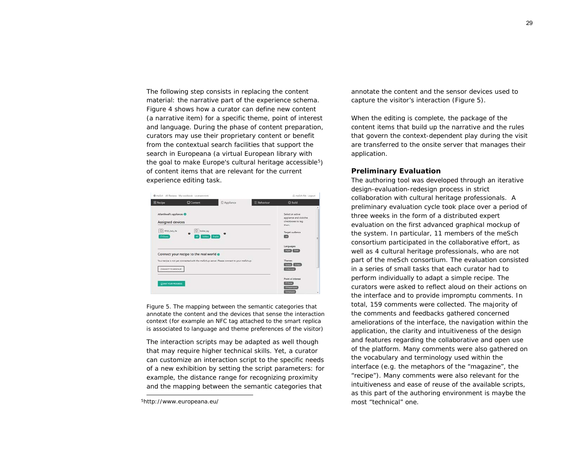The following step consists in replacing the content material: the narrative part of the experience schema. Figure 4 shows how a curator can define new content (a narrative item) for a specific theme, point of interest and language. During the phase of content preparation, curators may use their proprietary content or benefit from the contextual search facilities that support the search in Europeana (a virtual European library with the goal to make Europe's cultural heritage accessible<sup>[5](#page-4-0)</sup>) of content items that are relevant for the current experience editing task.

| <b>R</b> Recipe                                            | <b>C</b> Content                                                                          | <b>El</b> Appliance | E Behaviour                                                               | <sup>6</sup> Build                                |
|------------------------------------------------------------|-------------------------------------------------------------------------------------------|---------------------|---------------------------------------------------------------------------|---------------------------------------------------|
| Atlantikwall's appliances <sup>O</sup><br>Assigned devices |                                                                                           |                     | Select an active<br>appliance and click the<br>checkboxes to tag<br>them. |                                                   |
| $\Box$ #120, Daily J/a<br>Cl-Dunes                         | <b>D</b> Silviana<br>$\bullet$<br>Soldiers English                                        |                     |                                                                           | Target audience<br>m                              |
|                                                            | Connect your recipe to the real world @                                                   |                     |                                                                           | Languages<br>( Legion ) Dunn                      |
| CONNECT TO MISCHUP                                         | Your recipe is not yet connected with the meSchup server. Please connect to your meSchup. |                     |                                                                           | <b>Themes</b><br><b>Entre Control</b><br>Colleges |
| <b>ELSANTYOUR PROGRESS</b>                                 |                                                                                           |                     |                                                                           | Point of interest<br>(Glover)                     |
|                                                            |                                                                                           |                     |                                                                           | <b>CR Digna Higuert</b><br>Collegement            |

Figure 5. The mapping between the semantic categories that annotate the content and the devices that sense the interaction context (for example an NFC tag attached to the smart replica is associated to language and theme preferences of the visitor)

The interaction scripts may be adapted as well though that may require higher technical skills. Yet, a curator can customize an interaction script to the specific needs of a new exhibition by setting the script parameters: for example, the distance range for recognizing proximity and the mapping between the semantic categories that

<span id="page-4-0"></span>annotate the content and the sensor devices used to capture the visitor's interaction (Figure 5).

When the editing is complete, the package of the content items that build up the narrative and the rules that govern the context-dependent play during the visit are transferred to the onsite server that manages their application.

## **Preliminary Evaluation**

The authoring tool was developed through an iterative design-evaluation-redesign process in strict collaboration with cultural heritage professionals. A preliminary evaluation cycle took place over a period of three weeks in the form of a distributed expert evaluation on the first advanced graphical mockup of the system. In particular, 11 members of the meSch consortium participated in the collaborative effort, as well as 4 cultural heritage professionals, who are not part of the meSch consortium. The evaluation consisted in a series of small tasks that each curator had to perform individually to adapt a simple recipe. The curators were asked to reflect aloud on their actions on the interface and to provide impromptu comments. In total, 159 comments were collected. The majority of the comments and feedbacks gathered concerned ameliorations of the interface, the navigation within the application, the clarity and intuitiveness of the design and features regarding the collaborative and open use of the platform. Many comments were also gathered on the vocabulary and terminology used within the interface (e.g. the metaphors of the "magazine", the "recipe"). Many comments were also relevant for the intuitiveness and ease of reuse of the available scripts, as this part of the authoring environment is maybe the most "technical" one.

 <sup>5</sup>http://www.europeana.eu/